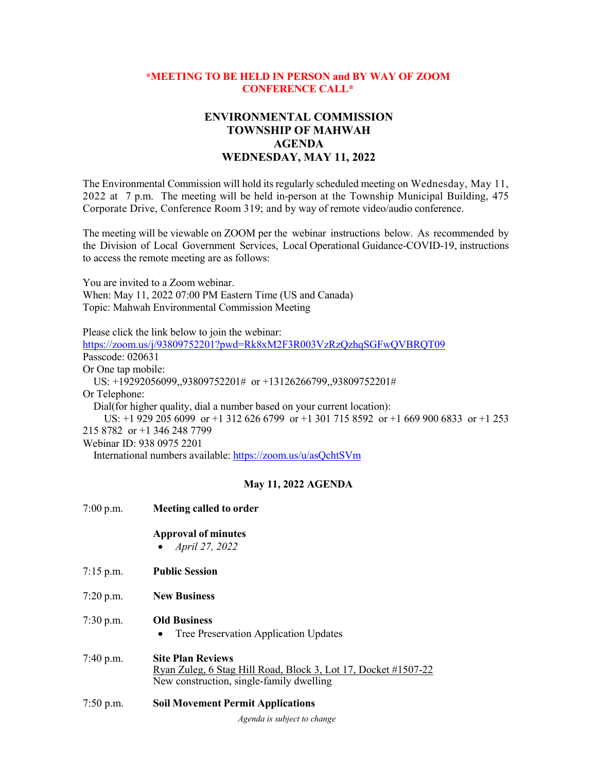## **\*MEETING TO BE HELD IN PERSON and BY WAY OF ZOOM CONFERENCE CALL\***

## **ENVIRONMENTAL COMMISSION TOWNSHIP OF MAHWAH AGENDA WEDNESDAY, MAY 11, 2022**

The Environmental Commission will hold its regularly scheduled meeting on Wednesday, May 11, 2022 at 7 p.m. The meeting will be held in-person at the Township Municipal Building, 475 Corporate Drive, Conference Room 319; and by way of remote video/audio conference.

The meeting will be viewable on ZOOM per the webinar instructions below. As recommended by the Division of Local Government Services, Local Operational Guidance-COVID-19, instructions to access the remote meeting are as follows:

You are invited to a Zoom webinar. When: May 11, 2022 07:00 PM Eastern Time (US and Canada) Topic: Mahwah Environmental Commission Meeting

Please click the link below to join the webinar: <https://zoom.us/j/93809752201?pwd=Rk8xM2F3R003VzRzQzhqSGFwQVBRQT09> Passcode: 020631 Or One tap mobile: US: +19292056099,,93809752201# or +13126266799,,93809752201# Or Telephone: Dial(for higher quality, dial a number based on your current location): US: +1 929 205 6099 or +1 312 626 6799 or +1 301 715 8592 or +1 669 900 6833 or +1 253 215 8782 or +1 346 248 7799 Webinar ID: 938 0975 2201 International numbers available:<https://zoom.us/u/asQchtSVm>

## **May 11, 2022 AGENDA**

| 7:00 p.m. | Meeting called to order                                                                                                                |
|-----------|----------------------------------------------------------------------------------------------------------------------------------------|
|           | <b>Approval of minutes</b><br>April 27, 2022                                                                                           |
| 7:15 p.m. | <b>Public Session</b>                                                                                                                  |
| 7:20 p.m. | <b>New Business</b>                                                                                                                    |
| 7:30 p.m. | <b>Old Business</b><br>Tree Preservation Application Updates                                                                           |
| 7:40 p.m. | <b>Site Plan Reviews</b><br>Ryan Zuleg, 6 Stag Hill Road, Block 3, Lot 17, Docket #1507-22<br>New construction, single-family dwelling |
| 7:50 p.m. | <b>Soil Movement Permit Applications</b>                                                                                               |

*Agenda is subject to change*